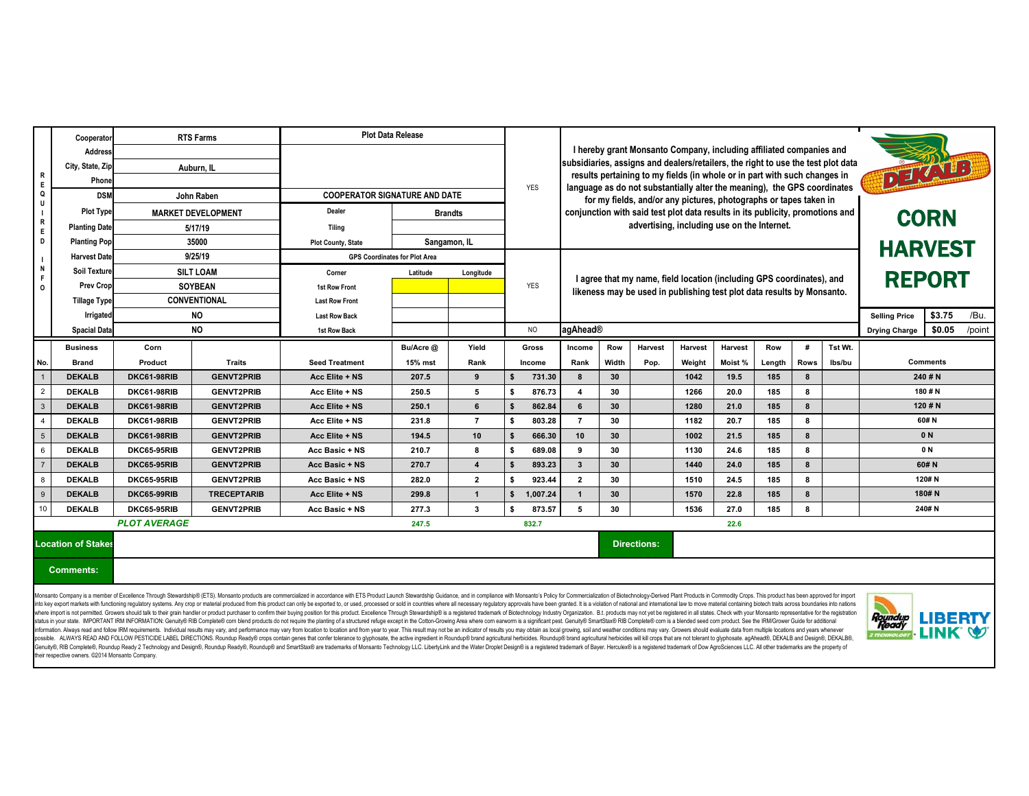Genuity®, RIB Complete®, Roundup Ready 2 Technology and Design®, Roundup Ready®, Roundup® and SmartStax® are trademarks of Monsanto Technology LLC. LibertyLink and the Water Droplet Design® is a registered trademark of Bay their respective owners. ©2014 Monsanto Company.

|                                                                                                                  | Cooperator                | <b>RTS Farms</b>          |                    | <b>Plot Data Release</b>                                                                                                                                                                                                                                                                                                                                                                                                                                                                                                                                                                                                                                                                                                                                                                                                                                                                                                                                                                                                                                                                                                                                                                                                                                                                                                                                                                                |                |                |                |                                                                                                                                                               |                                                                   |                                                                          |                                                                               |                |        |             |         |                                 |                |                |
|------------------------------------------------------------------------------------------------------------------|---------------------------|---------------------------|--------------------|---------------------------------------------------------------------------------------------------------------------------------------------------------------------------------------------------------------------------------------------------------------------------------------------------------------------------------------------------------------------------------------------------------------------------------------------------------------------------------------------------------------------------------------------------------------------------------------------------------------------------------------------------------------------------------------------------------------------------------------------------------------------------------------------------------------------------------------------------------------------------------------------------------------------------------------------------------------------------------------------------------------------------------------------------------------------------------------------------------------------------------------------------------------------------------------------------------------------------------------------------------------------------------------------------------------------------------------------------------------------------------------------------------|----------------|----------------|----------------|---------------------------------------------------------------------------------------------------------------------------------------------------------------|-------------------------------------------------------------------|--------------------------------------------------------------------------|-------------------------------------------------------------------------------|----------------|--------|-------------|---------|---------------------------------|----------------|----------------|
|                                                                                                                  | <b>Address</b>            |                           |                    |                                                                                                                                                                                                                                                                                                                                                                                                                                                                                                                                                                                                                                                                                                                                                                                                                                                                                                                                                                                                                                                                                                                                                                                                                                                                                                                                                                                                         |                |                |                |                                                                                                                                                               |                                                                   | I hereby grant Monsanto Company, including affiliated companies and      |                                                                               |                |        |             |         |                                 |                |                |
|                                                                                                                  | City, State, Zip          | Auburn, IL                |                    |                                                                                                                                                                                                                                                                                                                                                                                                                                                                                                                                                                                                                                                                                                                                                                                                                                                                                                                                                                                                                                                                                                                                                                                                                                                                                                                                                                                                         |                |                |                | subsidiaries, assigns and dealers/retailers, the right to use the test plot data<br>results pertaining to my fields (in whole or in part with such changes in |                                                                   |                                                                          |                                                                               |                |        |             | DETAILS |                                 |                |                |
| R<br>E                                                                                                           | Phone                     |                           |                    |                                                                                                                                                                                                                                                                                                                                                                                                                                                                                                                                                                                                                                                                                                                                                                                                                                                                                                                                                                                                                                                                                                                                                                                                                                                                                                                                                                                                         |                |                | <b>YES</b>     |                                                                                                                                                               |                                                                   | language as do not substantially alter the meaning), the GPS coordinates |                                                                               |                |        |             |         |                                 |                |                |
| Q<br>$\mathsf{U}$<br>$\frac{1}{R}$<br>E<br>D<br>$\mathbf{I}$<br>$\blacksquare$ N<br>F<br>$\overline{\mathbf{0}}$ | <b>DSM</b>                |                           | John Raben         | <b>COOPERATOR SIGNATURE AND DATE</b>                                                                                                                                                                                                                                                                                                                                                                                                                                                                                                                                                                                                                                                                                                                                                                                                                                                                                                                                                                                                                                                                                                                                                                                                                                                                                                                                                                    |                |                |                |                                                                                                                                                               | for my fields, and/or any pictures, photographs or tapes taken in |                                                                          |                                                                               |                |        |             |         |                                 |                |                |
|                                                                                                                  | <b>Plot Type</b>          | <b>MARKET DEVELOPMENT</b> |                    | <b>Dealer</b>                                                                                                                                                                                                                                                                                                                                                                                                                                                                                                                                                                                                                                                                                                                                                                                                                                                                                                                                                                                                                                                                                                                                                                                                                                                                                                                                                                                           | <b>Brandts</b> |                |                |                                                                                                                                                               |                                                                   |                                                                          | conjunction with said test plot data results in its publicity, promotions and |                |        |             |         | <b>CORN</b>                     |                |                |
|                                                                                                                  | <b>Planting Date</b>      | 5/17/19                   |                    | <b>Tiling</b>                                                                                                                                                                                                                                                                                                                                                                                                                                                                                                                                                                                                                                                                                                                                                                                                                                                                                                                                                                                                                                                                                                                                                                                                                                                                                                                                                                                           |                |                |                |                                                                                                                                                               | advertising, including use on the Internet.                       |                                                                          |                                                                               |                |        |             |         |                                 |                |                |
|                                                                                                                  | <b>Planting Pop</b>       | 35000                     |                    | <b>Plot County, State</b>                                                                                                                                                                                                                                                                                                                                                                                                                                                                                                                                                                                                                                                                                                                                                                                                                                                                                                                                                                                                                                                                                                                                                                                                                                                                                                                                                                               | Sangamon, IL   |                |                |                                                                                                                                                               |                                                                   |                                                                          |                                                                               |                |        |             |         | <b>HARVEST</b>                  |                |                |
|                                                                                                                  | <b>Harvest Date</b>       | 9/25/19                   |                    | <b>GPS Coordinates for Plot Area</b>                                                                                                                                                                                                                                                                                                                                                                                                                                                                                                                                                                                                                                                                                                                                                                                                                                                                                                                                                                                                                                                                                                                                                                                                                                                                                                                                                                    |                |                |                |                                                                                                                                                               |                                                                   |                                                                          |                                                                               |                |        |             |         |                                 |                |                |
|                                                                                                                  | <b>Soil Texture</b>       | <b>SILT LOAM</b>          |                    | Corner                                                                                                                                                                                                                                                                                                                                                                                                                                                                                                                                                                                                                                                                                                                                                                                                                                                                                                                                                                                                                                                                                                                                                                                                                                                                                                                                                                                                  | Latitude       | Longitude      |                |                                                                                                                                                               |                                                                   |                                                                          |                                                                               |                |        |             |         | <b>REPORT</b>                   |                |                |
|                                                                                                                  | <b>Prev Crop</b>          | <b>SOYBEAN</b>            |                    | <b>1st Row Front</b>                                                                                                                                                                                                                                                                                                                                                                                                                                                                                                                                                                                                                                                                                                                                                                                                                                                                                                                                                                                                                                                                                                                                                                                                                                                                                                                                                                                    |                |                | <b>YES</b>     | I agree that my name, field location (including GPS coordinates), and<br>likeness may be used in publishing test plot data results by Monsanto.               |                                                                   |                                                                          |                                                                               |                |        |             |         |                                 |                |                |
|                                                                                                                  | <b>Tillage Type</b>       | <b>CONVENTIONAL</b>       |                    | <b>Last Row Front</b>                                                                                                                                                                                                                                                                                                                                                                                                                                                                                                                                                                                                                                                                                                                                                                                                                                                                                                                                                                                                                                                                                                                                                                                                                                                                                                                                                                                   |                |                |                |                                                                                                                                                               |                                                                   |                                                                          |                                                                               |                |        |             |         |                                 |                |                |
|                                                                                                                  | <b>Irrigated</b>          |                           | <b>NO</b>          | <b>Last Row Back</b>                                                                                                                                                                                                                                                                                                                                                                                                                                                                                                                                                                                                                                                                                                                                                                                                                                                                                                                                                                                                                                                                                                                                                                                                                                                                                                                                                                                    |                |                |                |                                                                                                                                                               |                                                                   |                                                                          |                                                                               |                |        |             |         | <b>Selling Price</b>            | \$3.75         | /Bu.           |
|                                                                                                                  | <b>Spacial Data</b>       |                           | <b>NO</b>          | 1st Row Back                                                                                                                                                                                                                                                                                                                                                                                                                                                                                                                                                                                                                                                                                                                                                                                                                                                                                                                                                                                                                                                                                                                                                                                                                                                                                                                                                                                            |                |                | <b>NO</b>      | agAhead®                                                                                                                                                      |                                                                   |                                                                          |                                                                               |                |        |             |         | <b>Drying Charge</b>            | \$0.05         | /point         |
|                                                                                                                  | <b>Business</b>           | Corn                      |                    |                                                                                                                                                                                                                                                                                                                                                                                                                                                                                                                                                                                                                                                                                                                                                                                                                                                                                                                                                                                                                                                                                                                                                                                                                                                                                                                                                                                                         | Bu/Acre @      | Yield          | Gross          | Income                                                                                                                                                        | <b>Row</b>                                                        | <b>Harvest</b>                                                           | <b>Harvest</b>                                                                | <b>Harvest</b> | Row    | #           | Tst Wt. |                                 |                |                |
| No.                                                                                                              | <b>Brand</b>              | Product                   | <b>Traits</b>      | <b>Seed Treatment</b>                                                                                                                                                                                                                                                                                                                                                                                                                                                                                                                                                                                                                                                                                                                                                                                                                                                                                                                                                                                                                                                                                                                                                                                                                                                                                                                                                                                   | 15% mst        | Rank           | <b>Income</b>  | Rank                                                                                                                                                          | Width                                                             | Pop.                                                                     | Weight                                                                        | Moist %        | Length | <b>Rows</b> | lbs/bu  | <b>Comments</b>                 |                |                |
|                                                                                                                  | <b>DEKALB</b>             | <b>DKC61-98RIB</b>        | <b>GENVT2PRIB</b>  | Acc Elite + NS                                                                                                                                                                                                                                                                                                                                                                                                                                                                                                                                                                                                                                                                                                                                                                                                                                                                                                                                                                                                                                                                                                                                                                                                                                                                                                                                                                                          | 207.5          | 9              | 731.30<br>\$   | 8                                                                                                                                                             | 30                                                                |                                                                          | 1042                                                                          | 19.5           | 185    | 8           |         | 240#N                           |                |                |
| $\overline{2}$                                                                                                   | <b>DEKALB</b>             | DKC61-98RIB               | <b>GENVT2PRIB</b>  | Acc Elite + NS                                                                                                                                                                                                                                                                                                                                                                                                                                                                                                                                                                                                                                                                                                                                                                                                                                                                                                                                                                                                                                                                                                                                                                                                                                                                                                                                                                                          | 250.5          | 5              | 876.73<br>- \$ | $\boldsymbol{4}$                                                                                                                                              | 30                                                                |                                                                          | 1266                                                                          | 20.0           | 185    | 8           |         | 180 $# N$                       |                |                |
| $\overline{\mathbf{3}}$                                                                                          | <b>DEKALB</b>             | DKC61-98RIB               | <b>GENVT2PRIB</b>  | Acc Elite + NS                                                                                                                                                                                                                                                                                                                                                                                                                                                                                                                                                                                                                                                                                                                                                                                                                                                                                                                                                                                                                                                                                                                                                                                                                                                                                                                                                                                          | 250.1          | 6              | \$<br>862.84   | 6                                                                                                                                                             | 30 <sub>o</sub>                                                   |                                                                          | 1280                                                                          | 21.0           | 185    | 8           |         | 120# N                          |                |                |
| $\overline{4}$                                                                                                   | <b>DEKALB</b>             | <b>DKC61-98RIB</b>        | <b>GENVT2PRIB</b>  | Acc Elite + NS                                                                                                                                                                                                                                                                                                                                                                                                                                                                                                                                                                                                                                                                                                                                                                                                                                                                                                                                                                                                                                                                                                                                                                                                                                                                                                                                                                                          | 231.8          | $\overline{7}$ | \$<br>803.28   | $\overline{7}$                                                                                                                                                | 30                                                                |                                                                          | 1182                                                                          | 20.7           | 185    | 8           |         | 60#N                            |                |                |
| $5\overline{5}$                                                                                                  | <b>DEKALB</b>             | <b>DKC61-98RIB</b>        | <b>GENVT2PRIB</b>  | Acc Elite + NS                                                                                                                                                                                                                                                                                                                                                                                                                                                                                                                                                                                                                                                                                                                                                                                                                                                                                                                                                                                                                                                                                                                                                                                                                                                                                                                                                                                          | 194.5          | 10             | 666.30         | 10                                                                                                                                                            | 30                                                                |                                                                          | 1002                                                                          | 21.5           | 185    | 8           |         | 0 N                             |                |                |
| $6\phantom{.}6$                                                                                                  | <b>DEKALB</b>             | <b>DKC65-95RIB</b>        | <b>GENVT2PRIB</b>  | Acc Basic + NS                                                                                                                                                                                                                                                                                                                                                                                                                                                                                                                                                                                                                                                                                                                                                                                                                                                                                                                                                                                                                                                                                                                                                                                                                                                                                                                                                                                          | 210.7          | 8              | \$<br>689.08   | 9                                                                                                                                                             | 30                                                                |                                                                          | 1130                                                                          | 24.6           | 185    | 8           |         | 0 N                             |                |                |
| $\overline{7}$                                                                                                   | <b>DEKALB</b>             | <b>DKC65-95RIB</b>        | <b>GENVT2PRIB</b>  | Acc Basic + NS                                                                                                                                                                                                                                                                                                                                                                                                                                                                                                                                                                                                                                                                                                                                                                                                                                                                                                                                                                                                                                                                                                                                                                                                                                                                                                                                                                                          | 270.7          | $\overline{4}$ | 893.23<br>\$   | $\mathbf{3}$                                                                                                                                                  | 30 <sup>°</sup>                                                   |                                                                          | 1440                                                                          | 24.0           | 185    | 8           |         | 60# N                           |                |                |
| 8                                                                                                                | <b>DEKALB</b>             | <b>DKC65-95RIB</b>        | <b>GENVT2PRIB</b>  | Acc Basic + NS                                                                                                                                                                                                                                                                                                                                                                                                                                                                                                                                                                                                                                                                                                                                                                                                                                                                                                                                                                                                                                                                                                                                                                                                                                                                                                                                                                                          | 282.0          | $\overline{2}$ | 923.44<br>-\$  | $\overline{2}$                                                                                                                                                | 30                                                                |                                                                          | 1510                                                                          | 24.5           | 185    | 8           |         | 120# N                          |                |                |
| $\overline{9}$                                                                                                   | <b>DEKALB</b>             | <b>DKC65-99RIB</b>        | <b>TRECEPTARIB</b> | Acc Elite + NS                                                                                                                                                                                                                                                                                                                                                                                                                                                                                                                                                                                                                                                                                                                                                                                                                                                                                                                                                                                                                                                                                                                                                                                                                                                                                                                                                                                          | 299.8          | $\mathbf{1}$   | \$<br>1,007.24 |                                                                                                                                                               | 30 <sup>°</sup>                                                   |                                                                          | 1570                                                                          | 22.8           | 185    | 8           |         |                                 | 180# N         |                |
| 10                                                                                                               | <b>DEKALB</b>             | <b>DKC65-95RIB</b>        | <b>GENVT2PRIB</b>  | Acc Basic + NS                                                                                                                                                                                                                                                                                                                                                                                                                                                                                                                                                                                                                                                                                                                                                                                                                                                                                                                                                                                                                                                                                                                                                                                                                                                                                                                                                                                          | 277.3          | 3              | 873.57<br>\$   | 5                                                                                                                                                             | 30                                                                |                                                                          | 1536                                                                          | 27.0           | 185    | 8           |         |                                 | 240# N         |                |
|                                                                                                                  |                           | <b>PLOT AVERAGE</b>       |                    |                                                                                                                                                                                                                                                                                                                                                                                                                                                                                                                                                                                                                                                                                                                                                                                                                                                                                                                                                                                                                                                                                                                                                                                                                                                                                                                                                                                                         | 247.5          |                | 832.7          |                                                                                                                                                               |                                                                   |                                                                          |                                                                               | 22.6           |        |             |         |                                 |                |                |
|                                                                                                                  | <b>Location of Stakes</b> |                           |                    |                                                                                                                                                                                                                                                                                                                                                                                                                                                                                                                                                                                                                                                                                                                                                                                                                                                                                                                                                                                                                                                                                                                                                                                                                                                                                                                                                                                                         |                |                |                |                                                                                                                                                               |                                                                   | <b>Directions:</b>                                                       |                                                                               |                |        |             |         |                                 |                |                |
|                                                                                                                  | <b>Comments:</b>          |                           |                    |                                                                                                                                                                                                                                                                                                                                                                                                                                                                                                                                                                                                                                                                                                                                                                                                                                                                                                                                                                                                                                                                                                                                                                                                                                                                                                                                                                                                         |                |                |                |                                                                                                                                                               |                                                                   |                                                                          |                                                                               |                |        |             |         |                                 |                |                |
|                                                                                                                  |                           |                           |                    | Monsanto Company is a member of Excellence Through Stewardship® (ETS). Monsanto products are commercialized in accordance with ETS Product Launch Stewardship Guidance, and in compliance with Monsanto's Policy for Commercia<br>into key export markets with functioning regulatory systems. Any crop or material produced from this produced from this product can only be exported to, or used, processed or sold in countries where all necessary regulator<br>where import is not permitted. Growers should talk to their grain handler or product purchaser to confirm their buying position for this product. Excellence Through Stewardship® is a registered trademark of Biotechnology I<br>status in your state. IMPORTANT IRM INFORMATION: Genuity® RIB Complete® com blend products do not require the planting of a structured refuge except in the Cotton-Growing Area where com earworm is a significant pest. Genui<br>information. Always read and follow IRM requirements. Individual results may vary, and performance may vary, and performance may vary from location to location and from year to year. This result may not be an indicator of<br>possible. ALWAYS READ AND FOLLOW PESTICIDE LABEL DIRECTIONS. Roundup Ready® crops contain genes that confer tolerance to glyphosate, the active ingredient in Roundup® brand agricultural herbicides. Roundup® brand agricultu |                |                |                |                                                                                                                                                               |                                                                   |                                                                          |                                                                               |                |        |             |         | Roundup<br>Ready<br>2 TECHNOLOG | <b>LINK Q.</b> | <b>LIBERTY</b> |